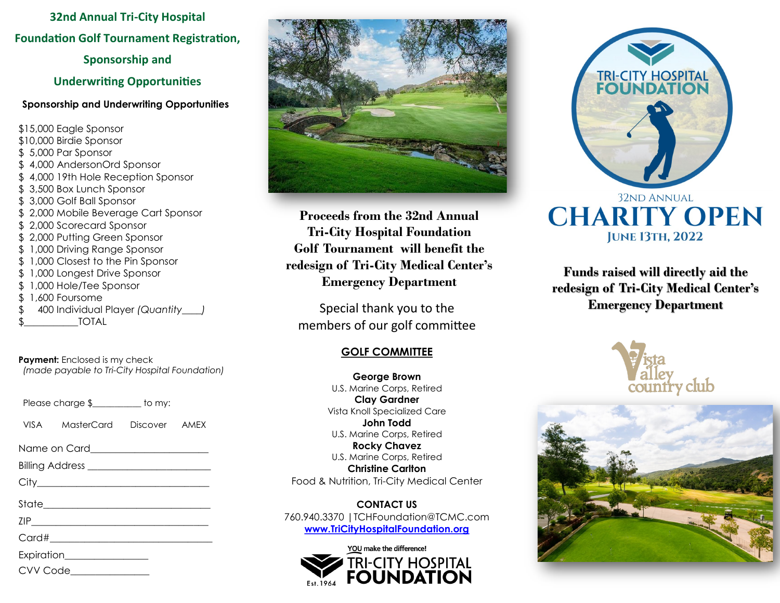**32nd Annual Tri-City Hospital Foundation Golf Tournament Registration,** 

**Sponsorship and** 

**Underwriting Opportunities**

#### **Sponsorship and Underwriting Opportunities**

\$15,000 Eagle Sponsor \$10,000 Birdie Sponsor \$ 5,000 Par Sponsor \$ 4,000 AndersonOrd Sponsor \$ 4,000 19th Hole Reception Sponsor \$ 3,500 Box Lunch Sponsor \$ 3,000 Golf Ball Sponsor \$ 2,000 Mobile Beverage Cart Sponsor \$ 2,000 Scorecard Sponsor \$ 2,000 Putting Green Sponsor \$ 1,000 Driving Range Sponsor \$ 1,000 Closest to the Pin Sponsor \$ 1,000 Longest Drive Sponsor \$ 1,000 Hole/Tee Sponsor \$ 1,600 Foursome \$ 400 Individual Player *(Quantity\_\_\_\_)* TOTAL

**Payment:** Enclosed is my check *(made payable to Tri-City Hospital Foundation)*

| Please charge \$ | to my: |
|------------------|--------|
|------------------|--------|

VISA MasterCard Discover AMEX

Name on Card

Billing Address \_\_\_\_\_\_\_\_\_\_\_\_\_\_\_\_\_\_\_\_\_\_\_\_\_

City\_\_\_\_\_\_\_\_\_\_\_\_\_\_\_\_\_\_\_\_\_\_\_\_\_\_\_\_\_\_\_\_\_\_\_

State\_\_\_\_\_\_\_\_\_\_\_\_\_\_\_\_\_\_\_\_\_\_\_\_\_\_\_\_\_\_\_\_\_\_

 $\mathsf{ZIP}$   $\qquad \qquad \qquad$ 

 $Card\#$ 

Expiration\_\_\_\_\_\_\_\_\_\_\_\_\_\_\_\_\_





**Proceeds from the 32nd Annual Tri-City Hospital Foundation Golf Tournament will benefit the redesign of Tri-City Medical Center's Emergency Department**

Special thank you to the members of our golf committee

# **GOLF COMMITTEE**

**George Brown** U.S. Marine Corps, Retired **Clay Gardner** Vista Knoll Specialized Care **John Todd** U.S. Marine Corps, Retired **Rocky Chavez** U.S. Marine Corps, Retired **Christine Carlton** Food & Nutrition, Tri-City Medical Center

**CONTACT US**  760.940.3370 |TCHFoundation@TCMC.com **[www.TriCityHospitalFoundation.org](http://www.tricityhospitalfoundation.org/)**





**Funds raised will directly aid the redesign of Tri-City Medical Center's Emergency Department**